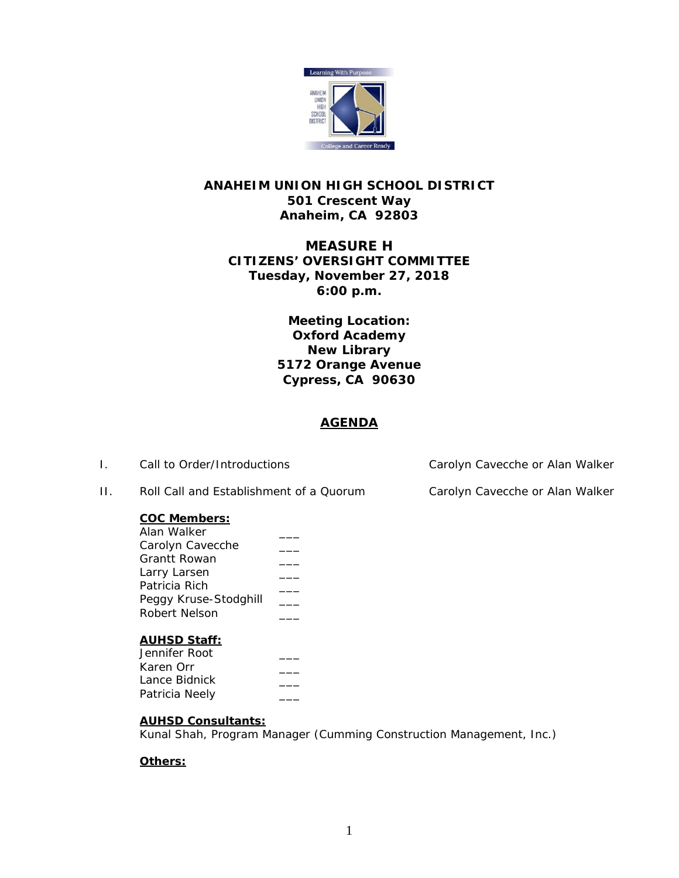

# **ANAHEIM UNION HIGH SCHOOL DISTRICT 501 Crescent Way Anaheim, CA 92803**

# **MEASURE H CITIZENS' OVERSIGHT COMMITTEE Tuesday, November 27, 2018 6:00 p.m.**

**Meeting Location: Oxford Academy New Library 5172 Orange Avenue Cypress, CA 90630**

# **AGENDA**

## **COC Members:**

| Alan Walker           |  |
|-----------------------|--|
| Carolyn Cavecche      |  |
| Grantt Rowan          |  |
| Larry Larsen          |  |
| Patricia Rich         |  |
| Peggy Kruse-Stodghill |  |
| <b>Robert Nelson</b>  |  |
|                       |  |

## **AUHSD Staff:**

| Jennifer Root  |  |
|----------------|--|
| Karen Orr      |  |
| Lance Bidnick  |  |
| Patricia Neely |  |
|                |  |

# **AUHSD Consultants:**

Kunal Shah, Program Manager (Cumming Construction Management, Inc.)

# **Others:**

I. Call to Order/Introductions Carolyn Cavecche or Alan Walker

II. Roll Call and Establishment of a Quorum Carolyn Cavecche or Alan Walker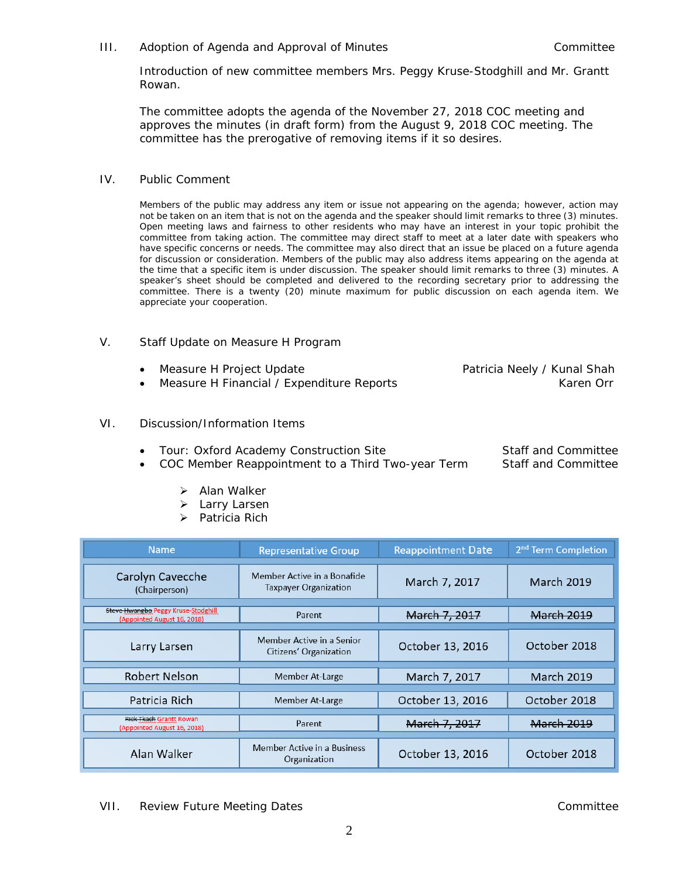### III. Adoption of Agenda and Approval of Minutes and Committee Committee

Introduction of new committee members Mrs. Peggy Kruse-Stodghill and Mr. Grantt Rowan.

The committee adopts the agenda of the November 27, 2018 COC meeting and approves the minutes (in draft form) from the August 9, 2018 COC meeting. The committee has the prerogative of removing items if it so desires.

### IV. Public Comment

Members of the public may address any item or issue not appearing on the agenda; however, action may not be taken on an item that is not on the agenda and the speaker should limit remarks to three (3) minutes. Open meeting laws and fairness to other residents who may have an interest in your topic prohibit the committee from taking action. The committee may direct staff to meet at a later date with speakers who have specific concerns or needs. The committee may also direct that an issue be placed on a future agenda for discussion or consideration. Members of the public may also address items appearing on the agenda at the time that a specific item is under discussion. The speaker should limit remarks to three (3) minutes. A speaker's sheet should be completed and delivered to the recording secretary prior to addressing the committee. There is a twenty (20) minute maximum for public discussion on each agenda item. We appreciate your cooperation.

### V. Staff Update on Measure H Program

| • Measure H Project Update                  | Patricia Neely / Kunal Shah |
|---------------------------------------------|-----------------------------|
| • Measure H Financial / Expenditure Reports | Karen Orr                   |

### VI. Discussion/Information Items

• Tour: Oxford Academy Construction Site Staff and Committee

• COC Member Reappointment to a Third Two-year Term Staff and Committee

- $\triangleright$  Alan Walker
- > Larry Larsen
- $\triangleright$  Patricia Rich

| <b>Name</b>                                                        | <b>Representative Group</b>                                 | <b>Reappointment Date</b> | 2 <sup>nd</sup> Term Completion |
|--------------------------------------------------------------------|-------------------------------------------------------------|---------------------------|---------------------------------|
| Carolyn Cavecche<br>(Chairperson)                                  | Member Active in a Bonafide<br><b>Taxpayer Organization</b> | March 7, 2017             | <b>March 2019</b>               |
| Steve Hwangbo Peggy Kruse-Stodghill<br>(Appointed August 16, 2018) | Parent                                                      | March 7, 2017             | <b>March 2019</b>               |
| Larry Larsen                                                       | Member Active in a Senior<br>Citizens' Organization         | October 13, 2016          | October 2018                    |
| Robert Nelson                                                      | Member At-Large                                             | March 7, 2017             | <b>March 2019</b>               |
| Patricia Rich                                                      | Member At-Large                                             | October 13, 2016          | October 2018                    |
| Rick Tkach Grantt Rowan<br>(Appointed August 16, 2018)             | Parent                                                      | March 7, 2017             | <b>March 2019</b>               |
| Alan Walker                                                        | Member Active in a Business<br>Organization                 | October 13, 2016          | October 2018                    |

VII. Review Future Meeting Dates Committee Committee Committee